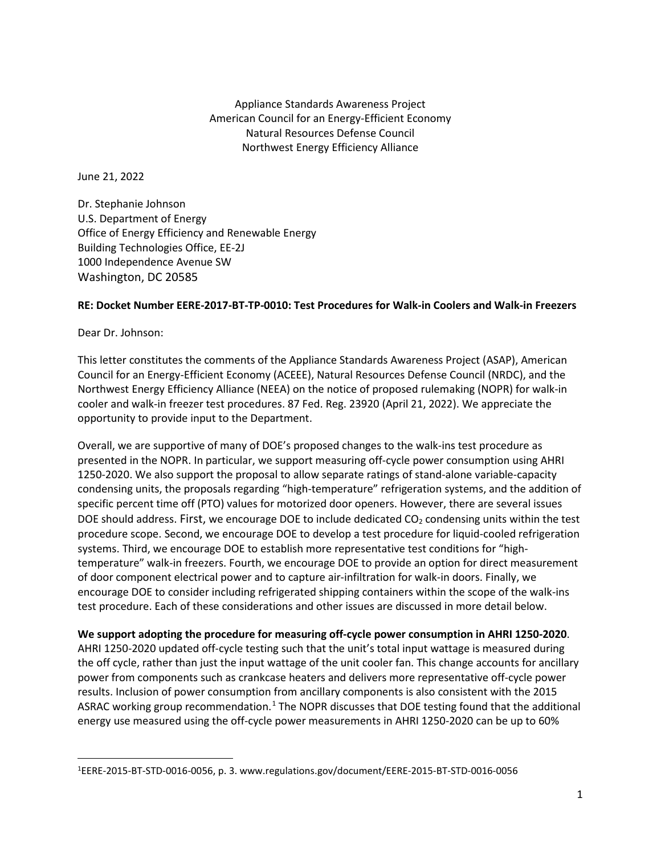Appliance Standards Awareness Project American Council for an Energy-Efficient Economy Natural Resources Defense Council Northwest Energy Efficiency Alliance

June 21, 2022

Dr. Stephanie Johnson U.S. Department of Energy Office of Energy Efficiency and Renewable Energy Building Technologies Office, EE-2J 1000 Independence Avenue SW Washington, DC 20585

## **RE: Docket Number EERE-2017-BT-TP-0010: Test Procedures for Walk-in Coolers and Walk-in Freezers**

Dear Dr. Johnson:

This letter constitutes the comments of the Appliance Standards Awareness Project (ASAP), American Council for an Energy-Efficient Economy (ACEEE), Natural Resources Defense Council (NRDC), and the Northwest Energy Efficiency Alliance (NEEA) on the notice of proposed rulemaking (NOPR) for walk-in cooler and walk-in freezer test procedures. 87 Fed. Reg. 23920 (April 21, 2022). We appreciate the opportunity to provide input to the Department.

Overall, we are supportive of many of DOE's proposed changes to the walk-ins test procedure as presented in the NOPR. In particular, we support measuring off-cycle power consumption using AHRI 1250-2020. We also support the proposal to allow separate ratings of stand-alone variable-capacity condensing units, the proposals regarding "high-temperature" refrigeration systems, and the addition of specific percent time off (PTO) values for motorized door openers. However, there are several issues DOE should address. First, we encourage DOE to include dedicated  $CO<sub>2</sub>$  condensing units within the test procedure scope. Second, we encourage DOE to develop a test procedure for liquid-cooled refrigeration systems. Third, we encourage DOE to establish more representative test conditions for "hightemperature" walk-in freezers. Fourth, we encourage DOE to provide an option for direct measurement of door component electrical power and to capture air-infiltration for walk-in doors. Finally, we encourage DOE to consider including refrigerated shipping containers within the scope of the walk-ins test procedure. Each of these considerations and other issues are discussed in more detail below.

**We support adopting the procedure for measuring off-cycle power consumption in AHRI 1250-2020**.

AHRI 1250-2020 updated off-cycle testing such that the unit's total input wattage is measured during the off cycle, rather than just the input wattage of the unit cooler fan. This change accounts for ancillary power from components such as crankcase heaters and delivers more representative off-cycle power results. Inclusion of power consumption from ancillary components is also consistent with the 2015 ASRAC working group recommendation.<sup>[1](#page-0-0)</sup> The NOPR discusses that DOE testing found that the additional energy use measured using the off-cycle power measurements in AHRI 1250-2020 can be up to 60%

<span id="page-0-0"></span><sup>1</sup> EERE-2015-BT-STD-0016-0056, p. 3. www.regulations.gov/document/EERE-2015-BT-STD-0016-0056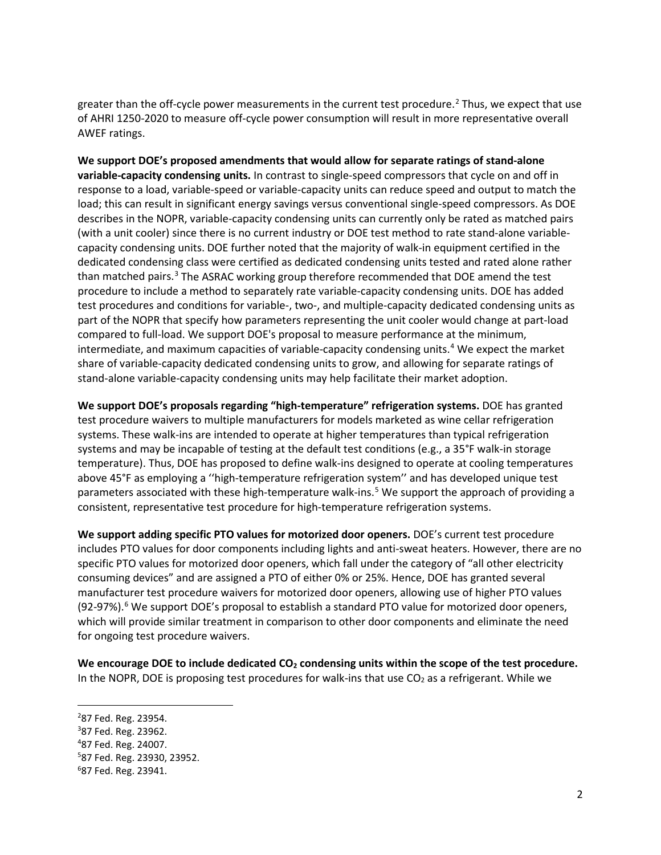greater than the off-cycle power measurements in the current test procedure. [2](#page-1-0) Thus, we expect that use of AHRI 1250-2020 to measure off-cycle power consumption will result in more representative overall AWEF ratings.

**We support DOE's proposed amendments that would allow for separate ratings of stand-alone variable-capacity condensing units.** In contrast to single-speed compressors that cycle on and off in response to a load, variable-speed or variable-capacity units can reduce speed and output to match the load; this can result in significant energy savings versus conventional single-speed compressors. As DOE describes in the NOPR, variable-capacity condensing units can currently only be rated as matched pairs (with a unit cooler) since there is no current industry or DOE test method to rate stand-alone variablecapacity condensing units. DOE further noted that the majority of walk-in equipment certified in the dedicated condensing class were certified as dedicated condensing units tested and rated alone rather than matched pairs.<sup>[3](#page-1-1)</sup> The ASRAC working group therefore recommended that DOE amend the test procedure to include a method to separately rate variable-capacity condensing units. DOE has added test procedures and conditions for variable-, two-, and multiple-capacity dedicated condensing units as part of the NOPR that specify how parameters representing the unit cooler would change at part-load compared to full-load. We support DOE's proposal to measure performance at the minimum, intermediate, and maximum capacities of variable-capacity condensing units.<sup>4</sup> We expect the market share of variable-capacity dedicated condensing units to grow, and allowing for separate ratings of stand-alone variable-capacity condensing units may help facilitate their market adoption.

**We support DOE's proposals regarding "high-temperature" refrigeration systems.** DOE has granted test procedure waivers to multiple manufacturers for models marketed as wine cellar refrigeration systems. These walk-ins are intended to operate at higher temperatures than typical refrigeration systems and may be incapable of testing at the default test conditions (e.g., a 35°F walk-in storage temperature). Thus, DOE has proposed to define walk-ins designed to operate at cooling temperatures above 45°F as employing a ''high-temperature refrigeration system'' and has developed unique test parameters associated with these high-temperature walk-ins.<sup>[5](#page-1-3)</sup> We support the approach of providing a consistent, representative test procedure for high-temperature refrigeration systems.

**We support adding specific PTO values for motorized door openers.** DOE's current test procedure includes PTO values for door components including lights and anti-sweat heaters. However, there are no specific PTO values for motorized door openers, which fall under the category of "all other electricity consuming devices" and are assigned a PTO of either 0% or 25%. Hence, DOE has granted several manufacturer test procedure waivers for motorized door openers, allowing use of higher PTO values (92-97%). [6](#page-1-4) We support DOE's proposal to establish a standard PTO value for motorized door openers, which will provide similar treatment in comparison to other door components and eliminate the need for ongoing test procedure waivers.

We encourage DOE to include dedicated CO<sub>2</sub> condensing units within the scope of the test procedure. In the NOPR, DOE is proposing test procedures for walk-ins that use  $CO<sub>2</sub>$  as a refrigerant. While we

<span id="page-1-0"></span><sup>&</sup>lt;sup>2</sup>87 Fed. Reg. 23954.

<span id="page-1-1"></span><sup>3</sup> 87 Fed. Reg. 23962.

<span id="page-1-2"></span><sup>4</sup> 87 Fed. Reg. 24007.

<span id="page-1-3"></span><sup>5</sup> 87 Fed. Reg. 23930, 23952.

<span id="page-1-4"></span><sup>6</sup> 87 Fed. Reg. 23941.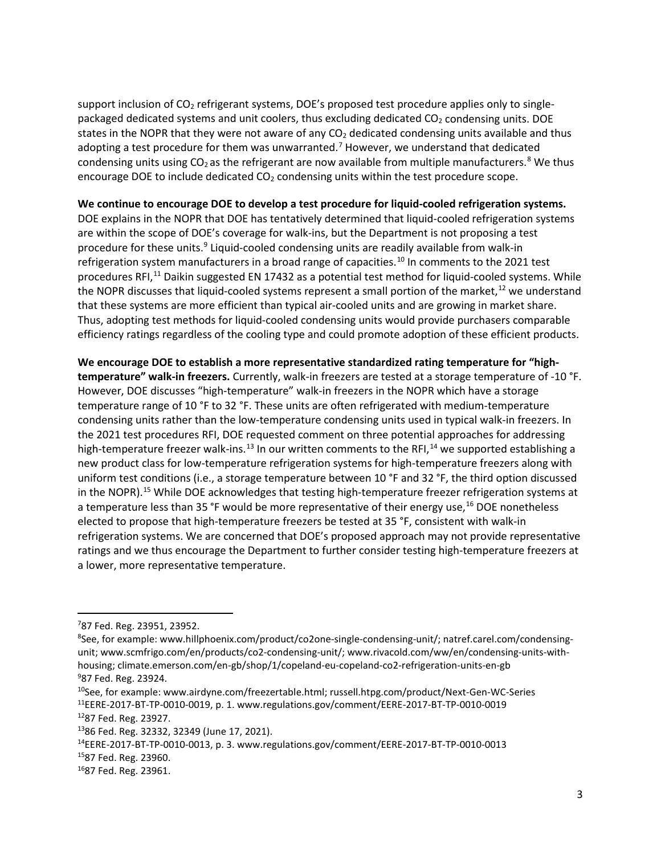support inclusion of CO<sub>2</sub> refrigerant systems, DOE's proposed test procedure applies only to singlepackaged dedicated systems and unit coolers, thus excluding dedicated  $CO<sub>2</sub>$  condensing units. DOE states in the NOPR that they were not aware of any  $CO<sub>2</sub>$  dedicated condensing units available and thus adopting a test procedure for them was unwarranted.<sup>[7](#page-2-0)</sup> However, we understand that dedicated condensing units using  $CO<sub>2</sub>$  as the refrigerant are now available from multiple manufacturers.<sup>[8](#page-2-1)</sup> We thus encourage DOE to include dedicated  $CO<sub>2</sub>$  condensing units within the test procedure scope.

## **We continue to encourage DOE to develop a test procedure for liquid-cooled refrigeration systems.**

DOE explains in the NOPR that DOE has tentatively determined that liquid-cooled refrigeration systems are within the scope of DOE's coverage for walk-ins, but the Department is not proposing a test procedure for these units.<sup>[9](#page-2-2)</sup> Liquid-cooled condensing units are readily available from walk-in refrigeration system manufacturers in a broad range of capacities.<sup>[10](#page-2-3)</sup> In comments to the 2021 test procedures RFI,<sup>[11](#page-2-4)</sup> Daikin suggested EN 17432 as a potential test method for liquid-cooled systems. While the NOPR discusses that liquid-cooled systems represent a small portion of the market, $12$  we understand that these systems are more efficient than typical air-cooled units and are growing in market share. Thus, adopting test methods for liquid-cooled condensing units would provide purchasers comparable efficiency ratings regardless of the cooling type and could promote adoption of these efficient products.

**We encourage DOE to establish a more representative standardized rating temperature for "hightemperature" walk-in freezers.** Currently, walk-in freezers are tested at a storage temperature of -10 °F. However, DOE discusses "high-temperature" walk-in freezers in the NOPR which have a storage temperature range of 10 °F to 32 °F. These units are often refrigerated with medium-temperature condensing units rather than the low-temperature condensing units used in typical walk-in freezers. In the 2021 test procedures RFI, DOE requested comment on three potential approaches for addressing high-temperature freezer walk-ins.<sup>[13](#page-2-6)</sup> In our written comments to the RFI,<sup>[14](#page-2-7)</sup> we supported establishing a new product class for low-temperature refrigeration systems for high-temperature freezers along with uniform test conditions (i.e., a storage temperature between 10 °F and 32 °F, the third option discussed in the NOPR).<sup>[15](#page-2-8)</sup> While DOE acknowledges that testing high-temperature freezer refrigeration systems at a temperature less than 35 °F would be more representative of their energy use,<sup>[16](#page-2-9)</sup> DOE nonetheless elected to propose that high-temperature freezers be tested at 35 °F, consistent with walk-in refrigeration systems. We are concerned that DOE's proposed approach may not provide representative ratings and we thus encourage the Department to further consider testing high-temperature freezers at a lower, more representative temperature.

<span id="page-2-0"></span><sup>7</sup> 87 Fed. Reg. 23951, 23952.

<span id="page-2-1"></span><sup>&</sup>lt;sup>8</sup>See, for example: www.hillphoenix.com/product/co2one-single-condensing-unit/; natref.carel.com/condensingunit; www.scmfrigo.com/en/products/co2-condensing-unit/; www.rivacold.com/ww/en/condensing-units-withhousing; climate.emerson.com/en-gb/shop/1/copeland-eu-copeland-co2-refrigeration-units-en-gb 9 87 Fed. Reg. 23924.

<span id="page-2-4"></span><span id="page-2-3"></span><span id="page-2-2"></span><sup>&</sup>lt;sup>10</sup>See, for example: www.airdyne.com/freezertable.html; russell.htpg.com/product/Next-Gen-WC-Series 11EERE-2017-BT-TP-0010-0019, p. 1. www.regulations.gov/comment/EERE-2017-BT-TP-0010-0019

<span id="page-2-5"></span><sup>1287</sup> Fed. Reg. 23927.

<span id="page-2-6"></span><sup>1386</sup> Fed. Reg. 32332, 32349 (June 17, 2021).

<span id="page-2-7"></span><sup>14</sup>EERE-2017-BT-TP-0010-0013, p. 3. www.regulations.gov/comment/EERE-2017-BT-TP-0010-0013

<span id="page-2-8"></span><sup>1587</sup> Fed. Reg. 23960.

<span id="page-2-9"></span><sup>1687</sup> Fed. Reg. 23961.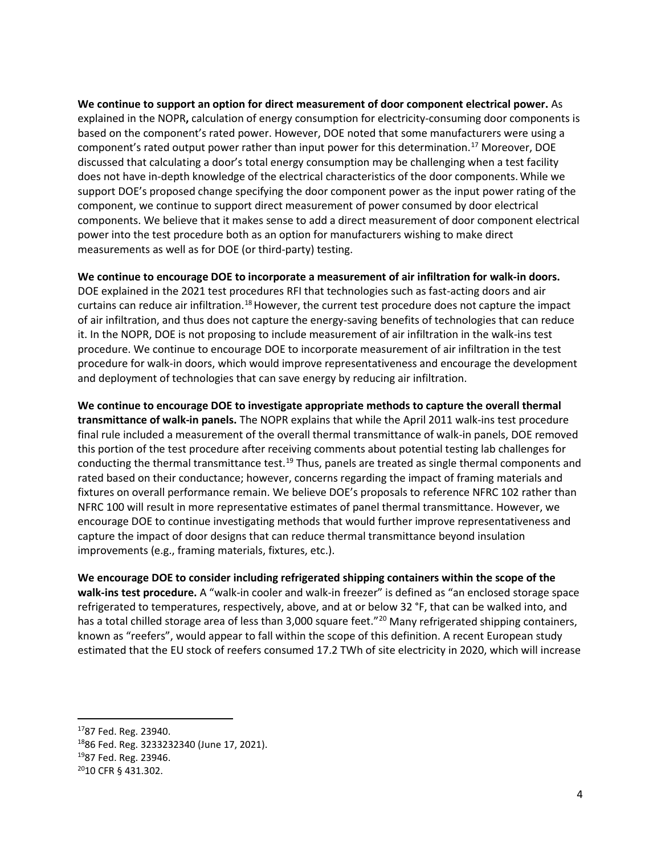**We continue to support an option for direct measurement of door component electrical power.** As explained in the NOPR**,** calculation of energy consumption for electricity-consuming door components is based on the component's rated power. However, DOE noted that some manufacturers were using a component's rated output power rather than input power for this determination.<sup>17</sup> Moreover, DOE discussed that calculating a door's total energy consumption may be challenging when a test facility does not have in-depth knowledge of the electrical characteristics of the door components.While we support DOE's proposed change specifying the door component power as the input power rating of the component, we continue to support direct measurement of power consumed by door electrical components. We believe that it makes sense to add a direct measurement of door component electrical power into the test procedure both as an option for manufacturers wishing to make direct measurements as well as for DOE (or third-party) testing.

**We continue to encourage DOE to incorporate a measurement of air infiltration for walk-in doors.** 

DOE explained in the 2021 test procedures RFI that technologies such as fast-acting doors and air curtains can reduce air infiltration.<sup>[18](#page-3-1)</sup> However, the current test procedure does not capture the impact of air infiltration, and thus does not capture the energy-saving benefits of technologies that can reduce it. In the NOPR, DOE is not proposing to include measurement of air infiltration in the walk-ins test procedure. We continue to encourage DOE to incorporate measurement of air infiltration in the test procedure for walk-in doors, which would improve representativeness and encourage the development and deployment of technologies that can save energy by reducing air infiltration.

**We continue to encourage DOE to investigate appropriate methods to capture the overall thermal transmittance of walk-in panels.** The NOPR explains that while the April 2011 walk-ins test procedure final rule included a measurement of the overall thermal transmittance of walk-in panels, DOE removed this portion of the test procedure after receiving comments about potential testing lab challenges for conducting the thermal transmittance test.<sup>[19](#page-3-2)</sup> Thus, panels are treated as single thermal components and rated based on their conductance; however, concerns regarding the impact of framing materials and fixtures on overall performance remain. We believe DOE's proposals to reference NFRC 102 rather than NFRC 100 will result in more representative estimates of panel thermal transmittance. However, we encourage DOE to continue investigating methods that would further improve representativeness and capture the impact of door designs that can reduce thermal transmittance beyond insulation improvements (e.g., framing materials, fixtures, etc.).

**We encourage DOE to consider including refrigerated shipping containers within the scope of the walk-ins test procedure.** A "walk-in cooler and walk-in freezer" is defined as "an enclosed storage space refrigerated to temperatures, respectively, above, and at or below 32 °F, that can be walked into, and has a total chilled storage area of less than 3,000 square feet."<sup>[20](#page-3-3)</sup> Many refrigerated shipping containers, known as "reefers", would appear to fall within the scope of this definition. A recent European study estimated that the EU stock of reefers consumed 17.2 TWh of site electricity in 2020, which will increase

<span id="page-3-0"></span><sup>1787</sup> Fed. Reg. 23940.

<span id="page-3-1"></span><sup>1886</sup> Fed. Reg. 3233232340 (June 17, 2021).

<span id="page-3-2"></span><sup>1987</sup> Fed. Reg. 23946.

<span id="page-3-3"></span><sup>2010</sup> CFR § 431.302.